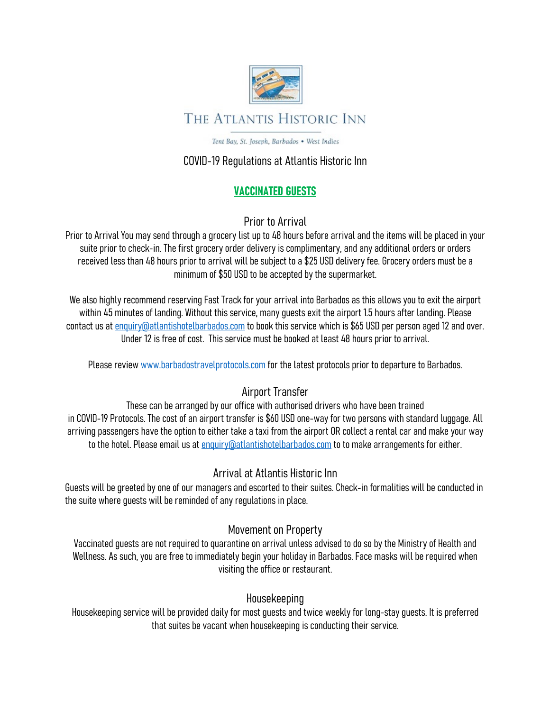

# THE ATLANTIS HISTORIC INN

Tent Bay, St. Joseph, Barbados . West Indies

### COVID-19 Regulations at Atlantis Historic Inn

## VACCINATED GUESTS

Prior to Arrival

Prior to Arrival You may send through a grocery list up to 48 hours before arrival and the items will be placed in your suite prior to check-in. The first grocery order delivery is complimentary, and any additional orders or orders received less than 48 hours prior to arrival will be subject to a \$25 USD delivery fee. Grocery orders must be a minimum of \$50 USD to be accepted by the supermarket.

We also highly recommend reserving Fast Track for your arrival into Barbados as this allows you to exit the airport within 45 minutes of landing. Without this service, many guests exit the airport 1.5 hours after landing. Please contact us at enquiry@atlantishotelbarbados.com to book this service which is \$65 USD per person aged 12 and over. Under 12 is free of cost. This service must be booked at least 48 hours prior to arrival.

Please review www.barbadostravelprotocols.com for the latest protocols prior to departure to Barbados.

# Airport Transfer

These can be arranged by our office with authorised drivers who have been trained in COVID-19 Protocols. The cost of an airport transfer is \$60 USD one-way for two persons with standard luggage. All arriving passengers have the option to either take a taxi from the airport OR collect a rental car and make your way to the hotel. Please email us at enquiry@atlantishotelbarbados.com to to make arrangements for either.

#### Arrival at Atlantis Historic Inn

Guests will be greeted by one of our managers and escorted to their suites. Check-in formalities will be conducted in the suite where guests will be reminded of any regulations in place.

### Movement on Property

Vaccinated guests are not required to quarantine on arrival unless advised to do so by the Ministry of Health and Wellness. As such, you are free to immediately begin your holiday in Barbados. Face masks will be required when visiting the office or restaurant.

### Housekeeping

Housekeeping service will be provided daily for most guests and twice weekly for long-stay guests. It is preferred that suites be vacant when housekeeping is conducting their service.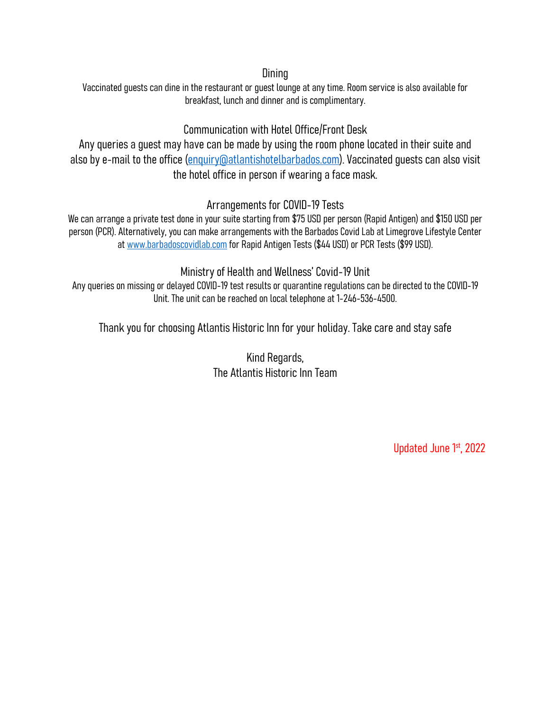### **Dining**

Vaccinated guests can dine in the restaurant or guest lounge at any time. Room service is also available for breakfast, lunch and dinner and is complimentary.

### Communication with Hotel Office/Front Desk

Any queries a guest may have can be made by using the room phone located in their suite and also by e-mail to the office (enquiry@atlantishotelbarbados.com). Vaccinated guests can also visit the hotel office in person if wearing a face mask.

### Arrangements for COVID-19 Tests

We can arrange a private test done in your suite starting from \$75 USD per person (Rapid Antigen) and \$150 USD per person (PCR). Alternatively, you can make arrangements with the Barbados Covid Lab at Limegrove Lifestyle Center at www.barbadoscovidlab.com for Rapid Antigen Tests (\$44 USD) or PCR Tests (\$99 USD).

Ministry of Health and Wellness' Covid-19 Unit

Any queries on missing or delayed COVID-19 test results or quarantine regulations can be directed to the COVID-19 Unit. The unit can be reached on local telephone at 1-246-536-4500.

Thank you for choosing Atlantis Historic Inn for your holiday. Take care and stay safe

Kind Regards, The Atlantis Historic Inn Team

Updated June 1st, 2022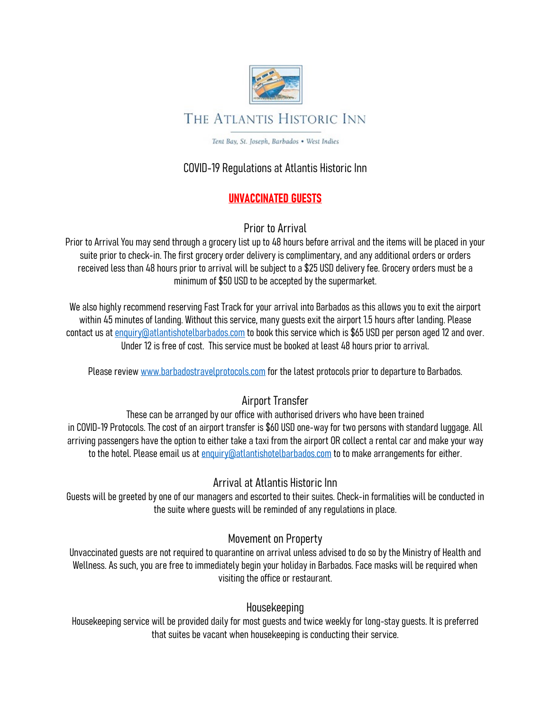

Tent Bay, St. Joseph, Barbados . West Indies

### COVID-19 Regulations at Atlantis Historic Inn

### UNVACCINATED GUESTS

### Prior to Arrival

Prior to Arrival You may send through a grocery list up to 48 hours before arrival and the items will be placed in your suite prior to check-in. The first grocery order delivery is complimentary, and any additional orders or orders received less than 48 hours prior to arrival will be subject to a \$25 USD delivery fee. Grocery orders must be a minimum of \$50 USD to be accepted by the supermarket.

We also highly recommend reserving Fast Track for your arrival into Barbados as this allows you to exit the airport within 45 minutes of landing. Without this service, many guests exit the airport 1.5 hours after landing. Please contact us at enquiry@atlantishotelbarbados.com to book this service which is \$65 USD per person aged 12 and over. Under 12 is free of cost. This service must be booked at least 48 hours prior to arrival.

Please review www.barbadostravelprotocols.com for the latest protocols prior to departure to Barbados.

# Airport Transfer

These can be arranged by our office with authorised drivers who have been trained in COVID-19 Protocols. The cost of an airport transfer is \$60 USD one-way for two persons with standard luggage. All arriving passengers have the option to either take a taxi from the airport OR collect a rental car and make your way to the hotel. Please email us at enquiry@atlantishotelbarbados.com to to make arrangements for either.

### Arrival at Atlantis Historic Inn

Guests will be greeted by one of our managers and escorted to their suites. Check-in formalities will be conducted in the suite where guests will be reminded of any regulations in place.

### Movement on Property

Unvaccinated guests are not required to quarantine on arrival unless advised to do so by the Ministry of Health and Wellness. As such, you are free to immediately begin your holiday in Barbados. Face masks will be required when visiting the office or restaurant.

### Housekeeping

Housekeeping service will be provided daily for most guests and twice weekly for long-stay guests. It is preferred that suites be vacant when housekeeping is conducting their service.